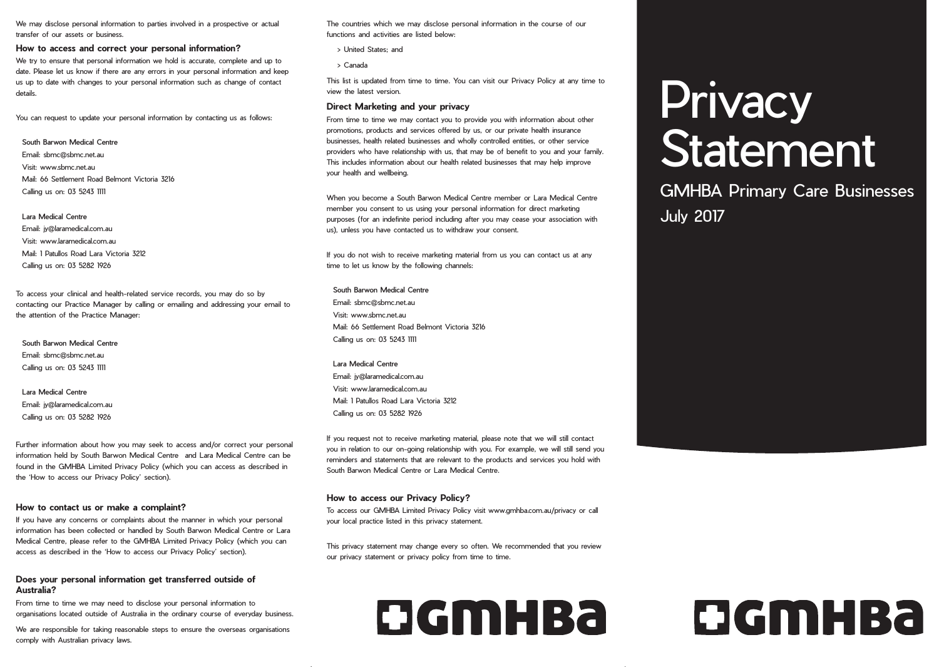We may disclose personal information to parties involved in a prospective or actual transfer of our assets or business.

### **How to access and correct your personal information?**

We try to ensure that personal information we hold is accurate, complete and up to date. Please let us know if there are any errors in your personal information and keep us up to date with changes to your personal information such as change of contact details.

You can request to update your personal information by contacting us as follows:

### South Barwon Medical Centre

Email: sbmc@sbmc.net.au Visit: www.sbmc.net.au Mail: 66 Settlement Road Belmont Victoria 3216 Calling us on: 03 5243 1111

#### Lara Medical Centre

Email: jy@laramedical.com.au Visit: www.laramedical.com.au Mail: 1 Patullos Road Lara Victoria 3212 Calling us on: 03 5282 1926

To access your clinical and health-related service records, you may do so by contacting our Practice Manager by calling or emailing and addressing your email to the attention of the Practice Manager:

South Barwon Medical Centre Email: sbmc@sbmc.net.au Calling us on: 03 5243 1111

Lara Medical Centre Email: jy@laramedical.com.au Calling us on: 03 5282 1926

Further information about how you may seek to access and/or correct your personal information held by South Barwon Medical Centre and Lara Medical Centre can be found in the GMHBA Limited Privacy Policy (which you can access as described in the 'How to access our Privacy Policy' section).

### **How to contact us or make a complaint?**

If you have any concerns or complaints about the manner in which your personal information has been collected or handled by South Barwon Medical Centre or Lara Medical Centre, please refer to the GMHBA Limited Privacy Policy (which you can access as described in the 'How to access our Privacy Policy' section).

### **Does your personal information get transferred outside of Australia?**

From time to time we may need to disclose your personal information to organisations located outside of Australia in the ordinary course of everyday business.

We are responsible for taking reasonable steps to ensure the overseas organisations comply with Australian privacy laws.

The countries which we may disclose personal information in the course of our functions and activities are listed below:

- •> United States; and
- •> Canada

This list is updated from time to time. You can visit our Privacy Policy at any time to view the latest version.

#### **Direct Marketing and your privacy**

From time to time we may contact you to provide you with information about other promotions, products and services offered by us, or our private health insurance businesses, health related businesses and wholly controlled entities, or other service providers who have relationship with us, that may be of benefit to you and your family. This includes information about our health related businesses that may help improve your health and wellbeing.

When you become a South Barwon Medical Centre member or Lara Medical Centre member you consent to us using your personal information for direct marketing purposes (for an indefinite period including after you may cease your association with us), unless you have contacted us to withdraw your consent.

If you do not wish to receive marketing material from us you can contact us at any time to let us know by the following channels:

South Barwon Medical Centre Email: sbmc@sbmc.net.au Visit: www.sbmc.net.au Mail: 66 Settlement Road Belmont Victoria 3216 Calling us on: 03 5243 1111

Lara Medical Centre Email: jy@laramedical.com.au Visit: www.laramedical.com.au Mail: 1 Patullos Road Lara Victoria 3212 Calling us on: 03 5282 1926

If you request not to receive marketing material, please note that we will still contact you in relation to our on-going relationship with you. For example, we will still send you reminders and statements that are relevant to the products and services you hold with South Barwon Medical Centre or Lara Medical Centre.

### **How to access our Privacy Policy?**

To access our GMHBA Limited Privacy Policy visit www.gmhba.com.au/privacy or call your local practice listed in this privacy statement.

This privacy statement may change every so often. We recommended that you review our privacy statement or privacy policy from time to time.

### DGMHBa

# **Privacy** Statement

### GMHBA Primary Care Businesses July 2017



## DGMHBa